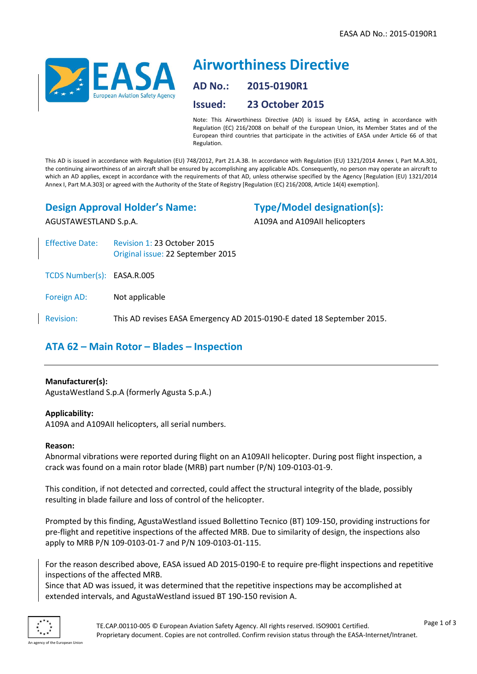

# **Airworthiness Directive**

**AD No.: 2015-0190R1**

## **Issued: 23 October 2015**

Note: This Airworthiness Directive (AD) is issued by EASA, acting in accordance with Regulation (EC) 216/2008 on behalf of the European Union, its Member States and of the European third countries that participate in the activities of EASA under Article 66 of that Regulation.

This AD is issued in accordance with Regulation (EU) 748/2012, Part 21.A.3B. In accordance with Regulation (EU) 1321/2014 Annex I, Part M.A.301, the continuing airworthiness of an aircraft shall be ensured by accomplishing any applicable ADs. Consequently, no person may operate an aircraft to which an AD applies, except in accordance with the requirements of that AD, unless otherwise specified by the Agency [Regulation (EU) 1321/2014 Annex I, Part M.A.303] or agreed with the Authority of the State of Registry [Regulation (EC) 216/2008, Article 14(4) exemption].

## **Design Approval Holder's Name:**

AGUSTAWESTLAND S.p.A.

**Type/Model designation(s):**

A109A and A109AII helicopters

- Effective Date: Revision 1: 23 October 2015 Original issue: 22 September 2015
- TCDS Number(s): EASA.R.005
- Foreign AD: Not applicable

Revision: This AD revises EASA Emergency AD 2015-0190-E dated 18 September 2015.

# **ATA 62 – Main Rotor – Blades – Inspection**

### **Manufacturer(s):**

AgustaWestland S.p.A (formerly Agusta S.p.A.)

### **Applicability:**

A109A and A109AII helicopters, all serial numbers.

#### **Reason:**

Abnormal vibrations were reported during flight on an A109AII helicopter. During post flight inspection, a crack was found on a main rotor blade (MRB) part number (P/N) 109-0103-01-9.

This condition, if not detected and corrected, could affect the structural integrity of the blade, possibly resulting in blade failure and loss of control of the helicopter.

Prompted by this finding, AgustaWestland issued Bollettino Tecnico (BT) 109-150, providing instructions for pre-flight and repetitive inspections of the affected MRB. Due to similarity of design, the inspections also apply to MRB P/N 109-0103-01-7 and P/N 109-0103-01-115.

For the reason described above, EASA issued AD 2015-0190-E to require pre-flight inspections and repetitive inspections of the affected MRB.

Since that AD was issued, it was determined that the repetitive inspections may be accomplished at extended intervals, and AgustaWestland issued BT 190-150 revision A.

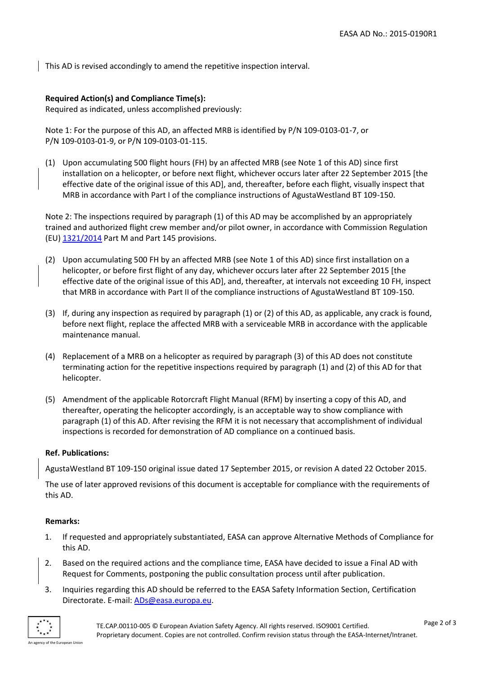Page 2 of 3

This AD is revised accondingly to amend the repetitive inspection interval.

**Required Action(s) and Compliance Time(s):** Required as indicated, unless accomplished previously:

Note 1: For the purpose of this AD, an affected MRB is identified by P/N 109-0103-01-7, or P/N 109-0103-01-9, or P/N 109-0103-01-115.

(1) Upon accumulating 500 flight hours (FH) by an affected MRB (see Note 1 of this AD) since first installation on a helicopter, or before next flight, whichever occurs later after 22 September 2015 [the effective date of the original issue of this AD], and, thereafter, before each flight, visually inspect that MRB in accordance with Part I of the compliance instructions of AgustaWestland BT 109-150.

Note 2: The inspections required by paragraph (1) of this AD may be accomplished by an appropriately trained and authorized flight crew member and/or pilot owner, in accordance with Commission Regulation (EU) [1321/2014](http://eur-lex.europa.eu/legal-content/EN/TXT/PDF/?uri=CELEX:32014R1321&qid=1420622066737&from=EN) Part M and Part 145 provisions.

- (2) Upon accumulating 500 FH by an affected MRB (see Note 1 of this AD) since first installation on a helicopter, or before first flight of any day, whichever occurs later after 22 September 2015 [the effective date of the original issue of this AD], and, thereafter, at intervals not exceeding 10 FH, inspect that MRB in accordance with Part II of the compliance instructions of AgustaWestland BT 109-150.
- (3) If, during any inspection as required by paragraph (1) or (2) of this AD, as applicable, any crack is found, before next flight, replace the affected MRB with a serviceable MRB in accordance with the applicable maintenance manual.
- (4) Replacement of a MRB on a helicopter as required by paragraph (3) of this AD does not constitute terminating action for the repetitive inspections required by paragraph (1) and (2) of this AD for that helicopter.
- (5) Amendment of the applicable Rotorcraft Flight Manual (RFM) by inserting a copy of this AD, and thereafter, operating the helicopter accordingly, is an acceptable way to show compliance with paragraph (1) of this AD. After revising the RFM it is not necessary that accomplishment of individual inspections is recorded for demonstration of AD compliance on a continued basis.

### **Ref. Publications:**

AgustaWestland BT 109-150 original issue dated 17 September 2015, or revision A dated 22 October 2015.

The use of later approved revisions of this document is acceptable for compliance with the requirements of this AD.

#### **Remarks:**

- 1. If requested and appropriately substantiated, EASA can approve Alternative Methods of Compliance for this AD.
- 2. Based on the required actions and the compliance time, EASA have decided to issue a Final AD with Request for Comments, postponing the public consultation process until after publication.
- 3. Inquiries regarding this AD should be referred to the EASA Safety Information Section, Certification Directorate. E-mail[: ADs@easa.europa.eu.](mailto:ADs@easa.europa.eu)